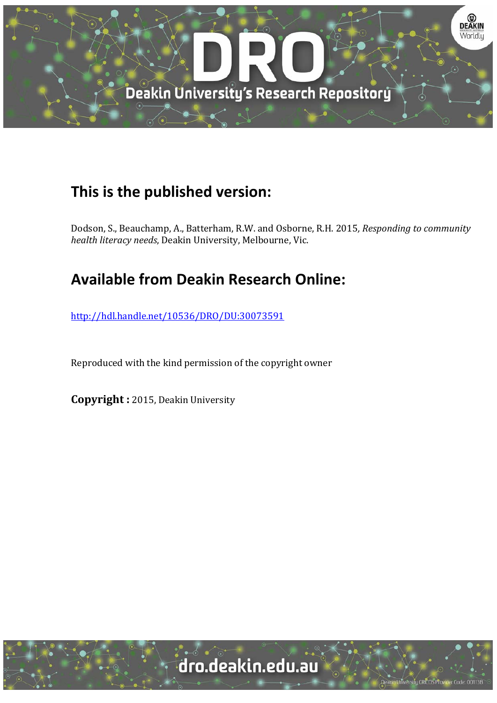

# **This is the published version:**

Dodson, S., Beauchamp, A., Batterham, R.W. and Osborne, R.H. 2015*, Responding to community health literacy needs*, Deakin University, Melbourne, Vic.

# **Available from Deakin Research Online:**

http://hdl.handle.net/10536/DRO/DU:30073591

Reproduced with the kind permission of the copyright owner

**Copyright** : 2015, Deakin University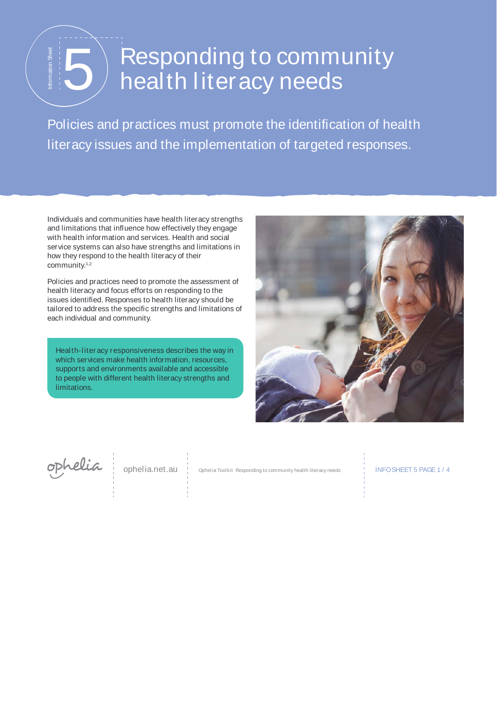# Responding to community<br>
Folicies and practices must promote the identification of healt<br>
literacy issues and the implementation of targeted responses.

Policies and practices must promote the identification of health

Individuals and communities have health literacy strengths and limitations that influence how effectively they engage with health information and services. Health and social service systems can also have strengths and limitations in how they respond to the health literacy of their community.1,2

Policies and practices need to promote the assessment of health literacy and focus efforts on responding to the issues identified. Responses to health literacy should be tailored to address the specific strengths and limitations of each individual and community.

Health-literacy responsiveness describes the way in which services make health information, resources, supports and environments available and accessible to people with different health literacy strengths and limitations.



ophelia

ophelia.net.au | Ophelia Toolkit Responding to community health literacy needs | INFO SHEET 5 PAGE 1 / 4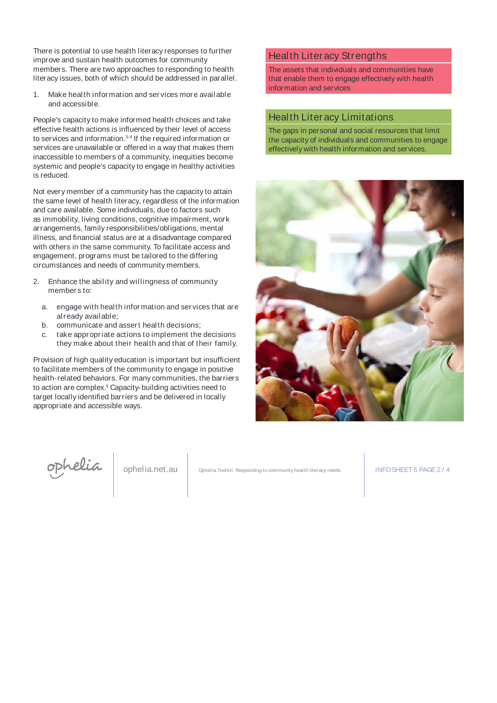There is potential to use health literacy responses to further improve and sustain health outcomes for community members. There are two approaches to responding to health literacy issues, both of which should be addressed in parallel.

1. Make health infor mation and ser vices more available and accessible.

People's capacity to make informed health choices and take effective health actions is influenced by their level of access to services and information.3-4 If the required information or services are unavailable or offered in a way that makes them inaccessible to members of a community, inequities become systemic and people's capacity to engage in healthy activities is reduced.

Not every member of a community has the capacity to attain the same level of health literacy, regardless of the information and care available. Some individuals, due to factors such as immobility, living conditions, cognitive impairment, work arrangements, family responsibilities/obligations, mental illness, and financial status are at a disadvantage compared with others in the same community. To facilitate access and engagement, programs must be tailored to the differing circumstances and needs of community members.

- 2. Enhance the ability and willingness of community members to:
	- a. engage with health infor mation and ser vices that are already available;
	- b. communicate and assert health decisions;
	- c. take appropr iate actions to implement the decisions they make about their health and that of their family.

Provision of high quality education is important but insufficient to facilitate members of the community to engage in positive health-related behaviors. For many communities, the barriers to action are complex.<sup>5</sup> Capacity-building activities need to target locally identified barriers and be delivered in locally appropriate and accessible ways.

## Health Literacy Strengths

The assets that individuals and communities have that enable them to engage effectively with health information and services

## Health Literacy Limitations

The gaps in personal and social resources that limit the capacity of individuals and communities to engage effectively with health information and services.





ophelia.net.au | Ophelia Toolkit Responding to community health literacy needs | INFO SHEET 5 PAGE 2 / 4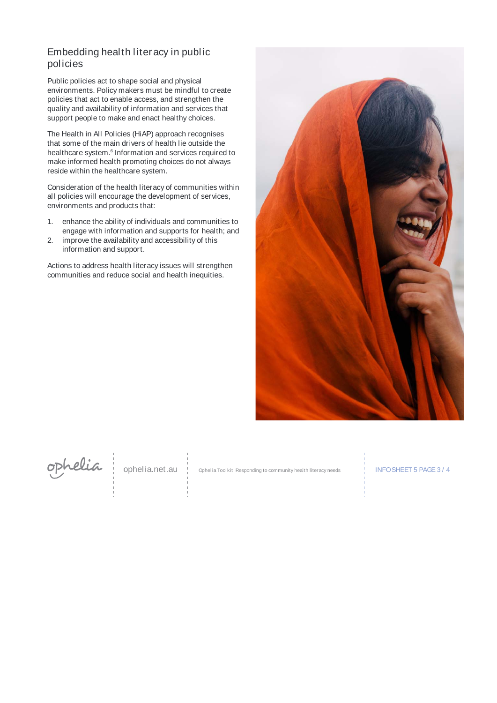# Embedding health literacy in public policies

Public policies act to shape social and physical environments. Policy makers must be mindful to create policies that act to enable access, and strengthen the quality and availability of information and services that support people to make and enact healthy choices.

The Health in All Policies (HiAP) approach recognises that some of the main drivers of health lie outside the healthcare system.<sup>6</sup> Information and services required to make informed health promoting choices do not always reside within the healthcare system.

Consideration of the health literacy of communities within all policies will encourage the development of services, environments and products that:

- 1. enhance the ability of individuals and communities to engage with information and supports for health; and
- 2. improve the availability and accessibility of this information and support.

Actions to address health literacy issues will strengthen communities and reduce social and health inequities.





ophelia.net.au | Ophelia Toolkit Responding to community health literacy needs INFO SHEET 5 PAGE 3 / 4